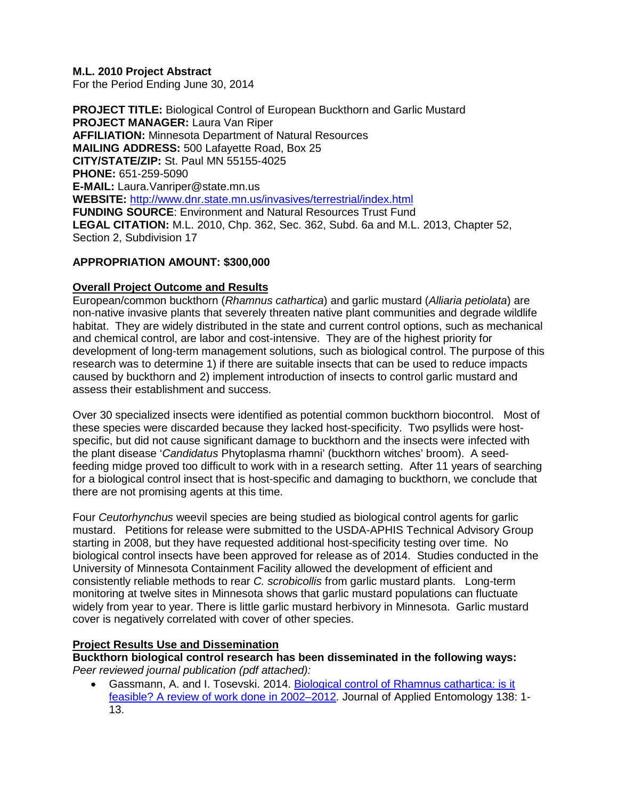## **M.L. 2010 Project Abstract**

For the Period Ending June 30, 2014

**PROJECT TITLE:** Biological Control of European Buckthorn and Garlic Mustard **PROJECT MANAGER:** Laura Van Riper **AFFILIATION:** Minnesota Department of Natural Resources **MAILING ADDRESS:** 500 Lafayette Road, Box 25 **CITY/STATE/ZIP:** St. Paul MN 55155-4025 **PHONE:** 651-259-5090 **E-MAIL:** Laura.Vanriper@state.mn.us **WEBSITE:** <http://www.dnr.state.mn.us/invasives/terrestrial/index.html> **FUNDING SOURCE**: Environment and Natural Resources Trust Fund **LEGAL CITATION:** M.L. 2010, Chp. 362, Sec. 362, Subd. 6a and M.L. 2013, Chapter 52, Section 2, Subdivision 17

## **APPROPRIATION AMOUNT: \$300,000**

# **Overall Project Outcome and Results**

European/common buckthorn (*Rhamnus cathartica*) and garlic mustard (*Alliaria petiolata*) are non-native invasive plants that severely threaten native plant communities and degrade wildlife habitat. They are widely distributed in the state and current control options, such as mechanical and chemical control, are labor and cost-intensive. They are of the highest priority for development of long-term management solutions, such as biological control. The purpose of this research was to determine 1) if there are suitable insects that can be used to reduce impacts caused by buckthorn and 2) implement introduction of insects to control garlic mustard and assess their establishment and success.

Over 30 specialized insects were identified as potential common buckthorn biocontrol. Most of these species were discarded because they lacked host-specificity. Two psyllids were hostspecific, but did not cause significant damage to buckthorn and the insects were infected with the plant disease '*Candidatus* Phytoplasma rhamni' (buckthorn witches' broom). A seedfeeding midge proved too difficult to work with in a research setting. After 11 years of searching for a biological control insect that is host-specific and damaging to buckthorn, we conclude that there are not promising agents at this time.

Four *Ceutorhynchus* weevil species are being studied as biological control agents for garlic mustard. Petitions for release were submitted to the USDA-APHIS Technical Advisory Group starting in 2008, but they have requested additional host-specificity testing over time. No biological control insects have been approved for release as of 2014. Studies conducted in the University of Minnesota Containment Facility allowed the development of efficient and consistently reliable methods to rear *C. scrobicollis* from garlic mustard plants. Long-term monitoring at twelve sites in Minnesota shows that garlic mustard populations can fluctuate widely from year to year. There is little garlic mustard herbivory in Minnesota. Garlic mustard cover is negatively correlated with cover of other species.

# **Project Results Use and Dissemination**

**Buckthorn biological control research has been disseminated in the following ways:** *Peer reviewed journal publication (pdf attached):*

• Gassmann, A. and I. Tosevski. 2014. [Biological control of Rhamnus cathartica: is it](http://onlinelibrary.wiley.com/doi/10.1111/jen.12104/abstract)  [feasible? A review of work done in 2002–2012.](http://onlinelibrary.wiley.com/doi/10.1111/jen.12104/abstract) Journal of Applied Entomology 138: 1- 13.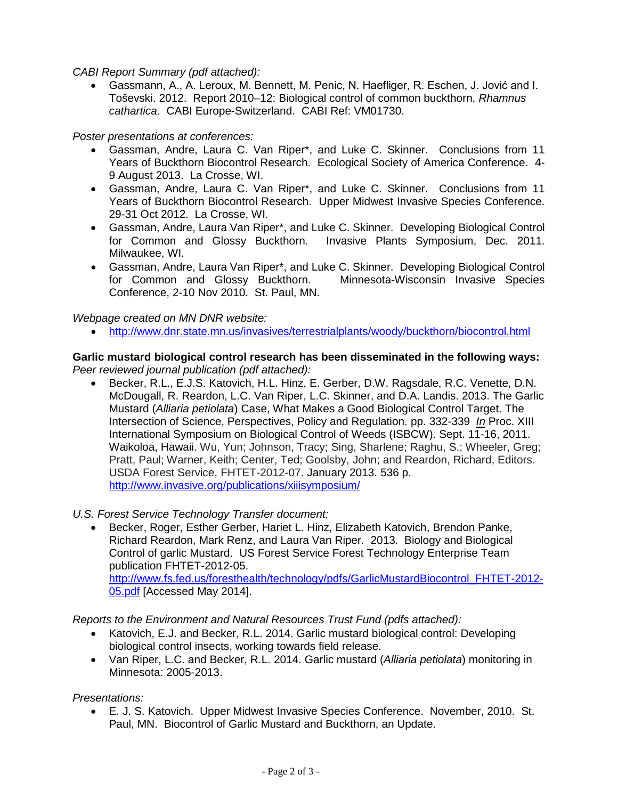*CABI Report Summary (pdf attached):*

• Gassmann, A., A. Leroux, M. Bennett, M. Penic, N. Haefliger, R. Eschen, J. Jović and I. Toševski. 2012. Report 2010–12: Biological control of common buckthorn, *Rhamnus cathartica*. CABI Europe-Switzerland. CABI Ref: VM01730.

*Poster presentations at conferences:*

- Gassman, Andre, Laura C. Van Riper\*, and Luke C. Skinner. Conclusions from 11 Years of Buckthorn Biocontrol Research. Ecological Society of America Conference. 4- 9 August 2013. La Crosse, WI.
- Gassman, Andre, Laura C. Van Riper\*, and Luke C. Skinner. Conclusions from 11 Years of Buckthorn Biocontrol Research. Upper Midwest Invasive Species Conference. 29-31 Oct 2012. La Crosse, WI.
- Gassman, Andre, Laura Van Riper\*, and Luke C. Skinner. Developing Biological Control for Common and Glossy Buckthorn. Invasive Plants Symposium, Dec. 2011. Milwaukee, WI.
- Gassman, Andre, Laura Van Riper\*, and Luke C. Skinner. Developing Biological Control for Common and Glossy Buckthorn. Minnesota-Wisconsin Invasive Species Conference, 2-10 Nov 2010. St. Paul, MN.

*Webpage created on MN DNR website:*

• <http://www.dnr.state.mn.us/invasives/terrestrialplants/woody/buckthorn/biocontrol.html>

### **Garlic mustard biological control research has been disseminated in the following ways:** *Peer reviewed journal publication (pdf attached):*

- Becker, R.L., E.J.S. Katovich, H.L. Hinz, E. Gerber, D.W. Ragsdale, R.C. Venette, D.N. McDougall, R. Reardon, L.C. Van Riper, L.C. Skinner, and D.A. Landis. 2013. The Garlic Mustard (*Alliaria petiolata*) Case, What Makes a Good Biological Control Target. The Intersection of Science, Perspectives, Policy and Regulation. pp. 332-339 *In* Proc. XIII International Symposium on Biological Control of Weeds (ISBCW). Sept. 11-16, 2011. Waikoloa, Hawaii. Wu, Yun; Johnson, Tracy; Sing, Sharlene; Raghu, S.; Wheeler, Greg; Pratt, Paul; Warner, Keith; Center, Ted; Goolsby, John; and Reardon, Richard, Editors. USDA Forest Service, FHTET-2012-07. January 2013. 536 p. <http://www.invasive.org/publications/xiiisymposium/>
- *U.S. Forest Service Technology Transfer document:*
	- Becker, Roger, Esther Gerber, Hariet L. Hinz, Elizabeth Katovich, Brendon Panke, Richard Reardon, Mark Renz, and Laura Van Riper. 2013. Biology and Biological Control of garlic Mustard. US Forest Service Forest Technology Enterprise Team publication FHTET-2012-05. [http://www.fs.fed.us/foresthealth/technology/pdfs/GarlicMustardBiocontrol\\_FHTET-2012-](http://www.fs.fed.us/foresthealth/technology/pdfs/GarlicMustardBiocontrol_FHTET-2012-05.pdf) [05.pdf](http://www.fs.fed.us/foresthealth/technology/pdfs/GarlicMustardBiocontrol_FHTET-2012-05.pdf) [Accessed May 2014].

*Reports to the Environment and Natural Resources Trust Fund (pdfs attached):*

- Katovich, E.J. and Becker, R.L. 2014. Garlic mustard biological control: Developing biological control insects, working towards field release.
- Van Riper, L.C. and Becker, R.L. 2014. Garlic mustard (*Alliaria petiolata*) monitoring in Minnesota: 2005-2013.

*Presentations:*

• E. J. S. Katovich. Upper Midwest Invasive Species Conference. November, 2010. St. Paul, MN. Biocontrol of Garlic Mustard and Buckthorn, an Update.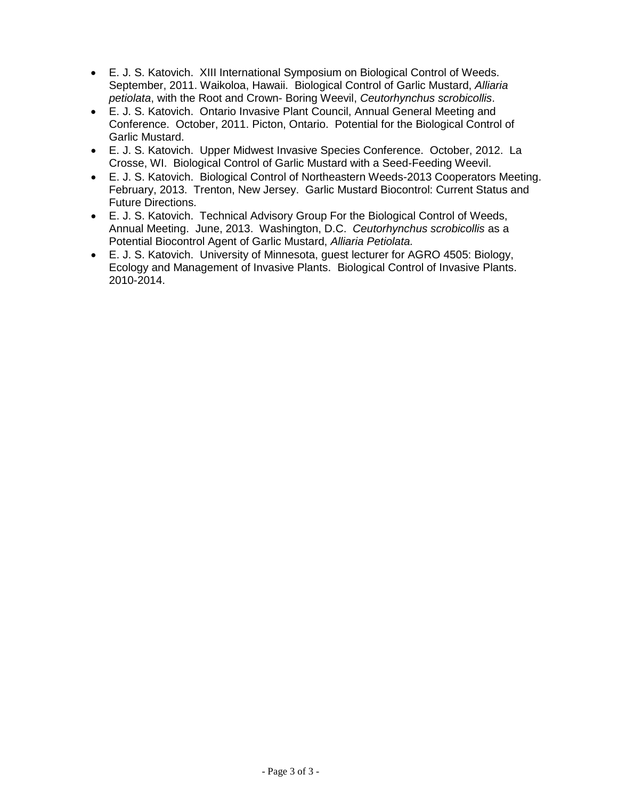- E. J. S. Katovich. XIII International Symposium on Biological Control of Weeds. September, 2011. Waikoloa, Hawaii. Biological Control of Garlic Mustard, *Alliaria petiolata*, with the Root and Crown- Boring Weevil, *Ceutorhynchus scrobicollis*.
- E. J. S. Katovich. Ontario Invasive Plant Council, Annual General Meeting and Conference. October, 2011. Picton, Ontario. Potential for the Biological Control of Garlic Mustard.
- E. J. S. Katovich. Upper Midwest Invasive Species Conference. October, 2012. La Crosse, WI. Biological Control of Garlic Mustard with a Seed-Feeding Weevil.
- E. J. S. Katovich. Biological Control of Northeastern Weeds-2013 Cooperators Meeting. February, 2013. Trenton, New Jersey. Garlic Mustard Biocontrol: Current Status and Future Directions.
- E. J. S. Katovich. Technical Advisory Group For the Biological Control of Weeds, Annual Meeting. June, 2013. Washington, D.C. *Ceutorhynchus scrobicollis* as a Potential Biocontrol Agent of Garlic Mustard, *Alliaria Petiolata.*
- E. J. S. Katovich. University of Minnesota, guest lecturer for AGRO 4505: Biology, Ecology and Management of Invasive Plants. Biological Control of Invasive Plants. 2010-2014.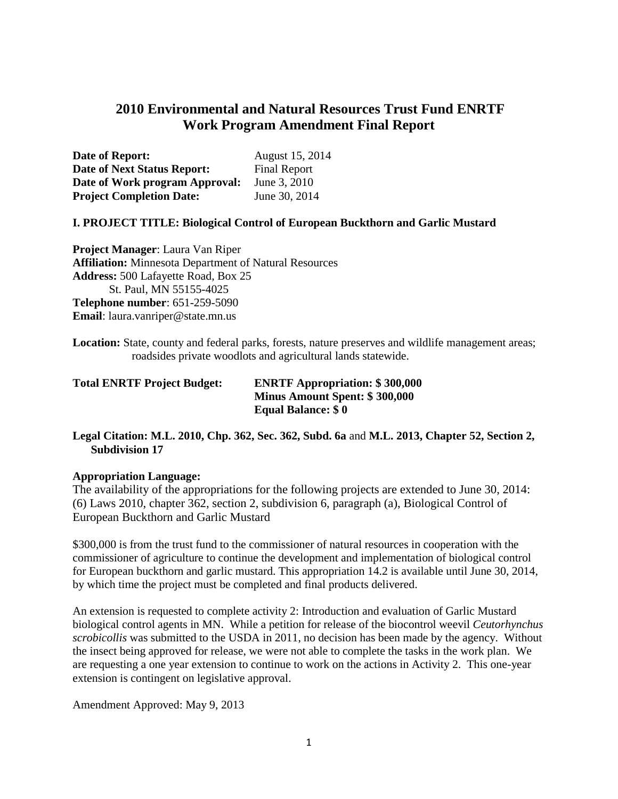# **2010 Environmental and Natural Resources Trust Fund ENRTF Work Program Amendment Final Report**

| Date of Report:                    | August 15, 2014     |
|------------------------------------|---------------------|
| <b>Date of Next Status Report:</b> | <b>Final Report</b> |
| Date of Work program Approval:     | June 3, 2010        |
| <b>Project Completion Date:</b>    | June 30, 2014       |

### **I. PROJECT TITLE: Biological Control of European Buckthorn and Garlic Mustard**

**Project Manager**: Laura Van Riper **Affiliation:** Minnesota Department of Natural Resources **Address:** 500 Lafayette Road, Box 25 St. Paul, MN 55155-4025 **Telephone number**: 651-259-5090 **Email**: laura.vanriper@state.mn.us

**Location:** State, county and federal parks, forests, nature preserves and wildlife management areas; roadsides private woodlots and agricultural lands statewide.

| <b>Total ENRTF Project Budget:</b> | <b>ENRTF Appropriation: \$300,000</b> |
|------------------------------------|---------------------------------------|
|                                    | <b>Minus Amount Spent: \$300,000</b>  |
|                                    | <b>Equal Balance: \$0</b>             |

**Legal Citation: M.L. 2010, Chp. 362, Sec. 362, Subd. 6a** and **M.L. 2013, Chapter 52, Section 2, Subdivision 17**

#### **Appropriation Language:**

The availability of the appropriations for the following projects are extended to June 30, 2014: (6) Laws 2010, chapter 362, section 2, subdivision 6, paragraph (a), Biological Control of European Buckthorn and Garlic Mustard

\$300,000 is from the trust fund to the commissioner of natural resources in cooperation with the commissioner of agriculture to continue the development and implementation of biological control for European buckthorn and garlic mustard. This appropriation 14.2 is available until June 30, 2014, by which time the project must be completed and final products delivered.

An extension is requested to complete activity 2: Introduction and evaluation of Garlic Mustard biological control agents in MN. While a petition for release of the biocontrol weevil *Ceutorhynchus scrobicollis* was submitted to the USDA in 2011, no decision has been made by the agency. Without the insect being approved for release, we were not able to complete the tasks in the work plan. We are requesting a one year extension to continue to work on the actions in Activity 2. This one-year extension is contingent on legislative approval.

Amendment Approved: May 9, 2013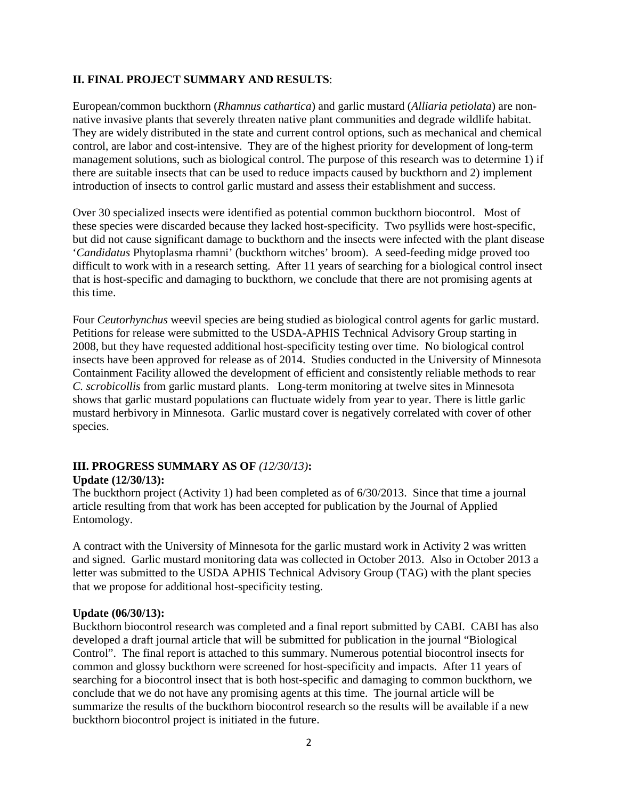### **II. FINAL PROJECT SUMMARY AND RESULTS**:

European/common buckthorn (*Rhamnus cathartica*) and garlic mustard (*Alliaria petiolata*) are nonnative invasive plants that severely threaten native plant communities and degrade wildlife habitat. They are widely distributed in the state and current control options, such as mechanical and chemical control, are labor and cost-intensive. They are of the highest priority for development of long-term management solutions, such as biological control. The purpose of this research was to determine 1) if there are suitable insects that can be used to reduce impacts caused by buckthorn and 2) implement introduction of insects to control garlic mustard and assess their establishment and success.

Over 30 specialized insects were identified as potential common buckthorn biocontrol. Most of these species were discarded because they lacked host-specificity. Two psyllids were host-specific, but did not cause significant damage to buckthorn and the insects were infected with the plant disease '*Candidatus* Phytoplasma rhamni' (buckthorn witches' broom). A seed-feeding midge proved too difficult to work with in a research setting. After 11 years of searching for a biological control insect that is host-specific and damaging to buckthorn, we conclude that there are not promising agents at this time.

Four *Ceutorhynchus* weevil species are being studied as biological control agents for garlic mustard. Petitions for release were submitted to the USDA-APHIS Technical Advisory Group starting in 2008, but they have requested additional host-specificity testing over time. No biological control insects have been approved for release as of 2014. Studies conducted in the University of Minnesota Containment Facility allowed the development of efficient and consistently reliable methods to rear *C. scrobicollis* from garlic mustard plants. Long-term monitoring at twelve sites in Minnesota shows that garlic mustard populations can fluctuate widely from year to year. There is little garlic mustard herbivory in Minnesota. Garlic mustard cover is negatively correlated with cover of other species.

# **III. PROGRESS SUMMARY AS OF** *(12/30/13)***:**

### **Update (12/30/13):**

The buckthorn project (Activity 1) had been completed as of 6/30/2013. Since that time a journal article resulting from that work has been accepted for publication by the Journal of Applied Entomology.

A contract with the University of Minnesota for the garlic mustard work in Activity 2 was written and signed. Garlic mustard monitoring data was collected in October 2013. Also in October 2013 a letter was submitted to the USDA APHIS Technical Advisory Group (TAG) with the plant species that we propose for additional host-specificity testing.

### **Update (06/30/13):**

Buckthorn biocontrol research was completed and a final report submitted by CABI. CABI has also developed a draft journal article that will be submitted for publication in the journal "Biological Control". The final report is attached to this summary. Numerous potential biocontrol insects for common and glossy buckthorn were screened for host-specificity and impacts. After 11 years of searching for a biocontrol insect that is both host-specific and damaging to common buckthorn, we conclude that we do not have any promising agents at this time. The journal article will be summarize the results of the buckthorn biocontrol research so the results will be available if a new buckthorn biocontrol project is initiated in the future.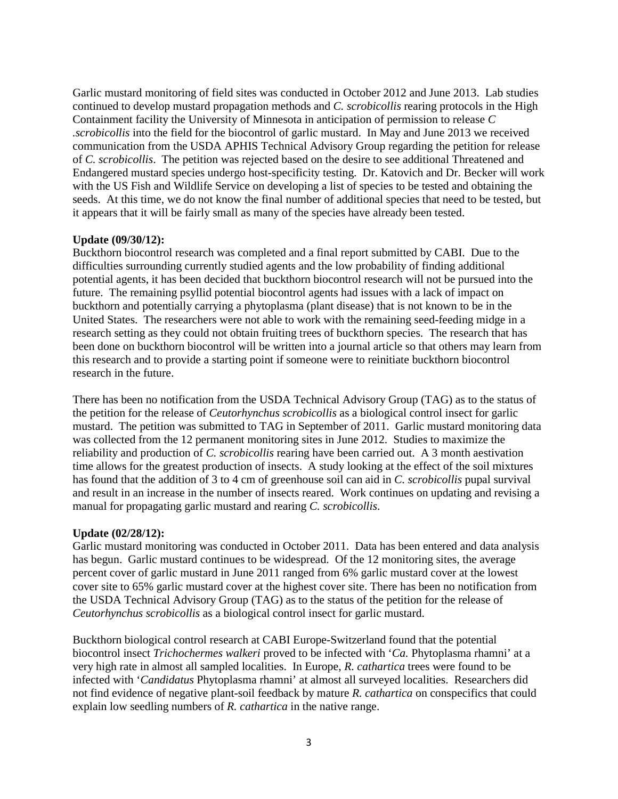Garlic mustard monitoring of field sites was conducted in October 2012 and June 2013. Lab studies continued to develop mustard propagation methods and *C. scrobicollis* rearing protocols in the High Containment facility the University of Minnesota in anticipation of permission to release *C .scrobicollis* into the field for the biocontrol of garlic mustard. In May and June 2013 we received communication from the USDA APHIS Technical Advisory Group regarding the petition for release of *C. scrobicollis*. The petition was rejected based on the desire to see additional Threatened and Endangered mustard species undergo host-specificity testing. Dr. Katovich and Dr. Becker will work with the US Fish and Wildlife Service on developing a list of species to be tested and obtaining the seeds. At this time, we do not know the final number of additional species that need to be tested, but it appears that it will be fairly small as many of the species have already been tested.

### **Update (09/30/12):**

Buckthorn biocontrol research was completed and a final report submitted by CABI. Due to the difficulties surrounding currently studied agents and the low probability of finding additional potential agents, it has been decided that buckthorn biocontrol research will not be pursued into the future. The remaining psyllid potential biocontrol agents had issues with a lack of impact on buckthorn and potentially carrying a phytoplasma (plant disease) that is not known to be in the United States. The researchers were not able to work with the remaining seed-feeding midge in a research setting as they could not obtain fruiting trees of buckthorn species. The research that has been done on buckthorn biocontrol will be written into a journal article so that others may learn from this research and to provide a starting point if someone were to reinitiate buckthorn biocontrol research in the future.

There has been no notification from the USDA Technical Advisory Group (TAG) as to the status of the petition for the release of *Ceutorhynchus scrobicollis* as a biological control insect for garlic mustard. The petition was submitted to TAG in September of 2011. Garlic mustard monitoring data was collected from the 12 permanent monitoring sites in June 2012. Studies to maximize the reliability and production of *C. scrobicollis* rearing have been carried out. A 3 month aestivation time allows for the greatest production of insects. A study looking at the effect of the soil mixtures has found that the addition of 3 to 4 cm of greenhouse soil can aid in *C. scrobicollis* pupal survival and result in an increase in the number of insects reared. Work continues on updating and revising a manual for propagating garlic mustard and rearing *C. scrobicollis*.

#### **Update (02/28/12):**

Garlic mustard monitoring was conducted in October 2011. Data has been entered and data analysis has begun. Garlic mustard continues to be widespread. Of the 12 monitoring sites, the average percent cover of garlic mustard in June 2011 ranged from 6% garlic mustard cover at the lowest cover site to 65% garlic mustard cover at the highest cover site. There has been no notification from the USDA Technical Advisory Group (TAG) as to the status of the petition for the release of *Ceutorhynchus scrobicollis* as a biological control insect for garlic mustard.

Buckthorn biological control research at CABI Europe-Switzerland found that the potential biocontrol insect *Trichochermes walkeri* proved to be infected with '*Ca.* Phytoplasma rhamni' at a very high rate in almost all sampled localities. In Europe, *R. cathartica* trees were found to be infected with '*Candidatus* Phytoplasma rhamni' at almost all surveyed localities. Researchers did not find evidence of negative plant-soil feedback by mature *R. cathartica* on conspecifics that could explain low seedling numbers of *R. cathartica* in the native range.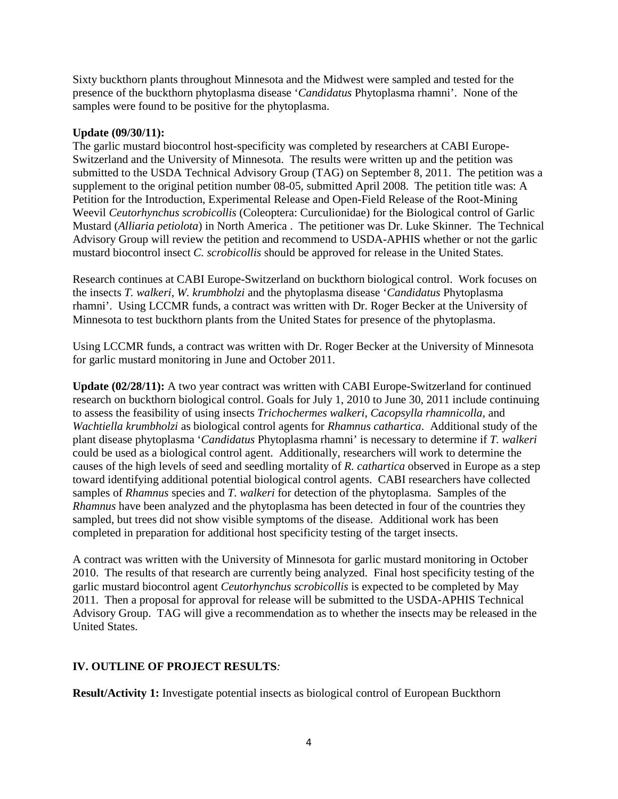Sixty buckthorn plants throughout Minnesota and the Midwest were sampled and tested for the presence of the buckthorn phytoplasma disease '*Candidatus* Phytoplasma rhamni'. None of the samples were found to be positive for the phytoplasma.

## **Update (09/30/11):**

The garlic mustard biocontrol host-specificity was completed by researchers at CABI Europe-Switzerland and the University of Minnesota. The results were written up and the petition was submitted to the USDA Technical Advisory Group (TAG) on September 8, 2011. The petition was a supplement to the original petition number 08-05, submitted April 2008. The petition title was: A Petition for the Introduction, Experimental Release and Open-Field Release of the Root-Mining Weevil *Ceutorhynchus scrobicollis* (Coleoptera: Curculionidae) for the Biological control of Garlic Mustard (*Alliaria petiolota*) in North America . The petitioner was Dr. Luke Skinner. The Technical Advisory Group will review the petition and recommend to USDA-APHIS whether or not the garlic mustard biocontrol insect *C. scrobicollis* should be approved for release in the United States.

Research continues at CABI Europe-Switzerland on buckthorn biological control. Work focuses on the insects *T. walkeri, W. krumbholzi* and the phytoplasma disease '*Candidatus* Phytoplasma rhamni'. Using LCCMR funds, a contract was written with Dr. Roger Becker at the University of Minnesota to test buckthorn plants from the United States for presence of the phytoplasma.

Using LCCMR funds, a contract was written with Dr. Roger Becker at the University of Minnesota for garlic mustard monitoring in June and October 2011.

**Update (02/28/11):** A two year contract was written with CABI Europe-Switzerland for continued research on buckthorn biological control. Goals for July 1, 2010 to June 30, 2011 include continuing to assess the feasibility of using insects *Trichochermes walkeri, Cacopsylla rhamnicolla,* and *Wachtiella krumbholzi* as biological control agents for *Rhamnus cathartica*. Additional study of the plant disease phytoplasma '*Candidatus* Phytoplasma rhamni' is necessary to determine if *T. walkeri*  could be used as a biological control agent. Additionally, researchers will work to determine the causes of the high levels of seed and seedling mortality of *R. cathartica* observed in Europe as a step toward identifying additional potential biological control agents. CABI researchers have collected samples of *Rhamnus* species and *T. walkeri* for detection of the phytoplasma. Samples of the *Rhamnus* have been analyzed and the phytoplasma has been detected in four of the countries they sampled, but trees did not show visible symptoms of the disease. Additional work has been completed in preparation for additional host specificity testing of the target insects.

A contract was written with the University of Minnesota for garlic mustard monitoring in October 2010. The results of that research are currently being analyzed. Final host specificity testing of the garlic mustard biocontrol agent *Ceutorhynchus scrobicollis* is expected to be completed by May 2011. Then a proposal for approval for release will be submitted to the USDA-APHIS Technical Advisory Group. TAG will give a recommendation as to whether the insects may be released in the United States.

# **IV. OUTLINE OF PROJECT RESULTS***:*

**Result/Activity 1:** Investigate potential insects as biological control of European Buckthorn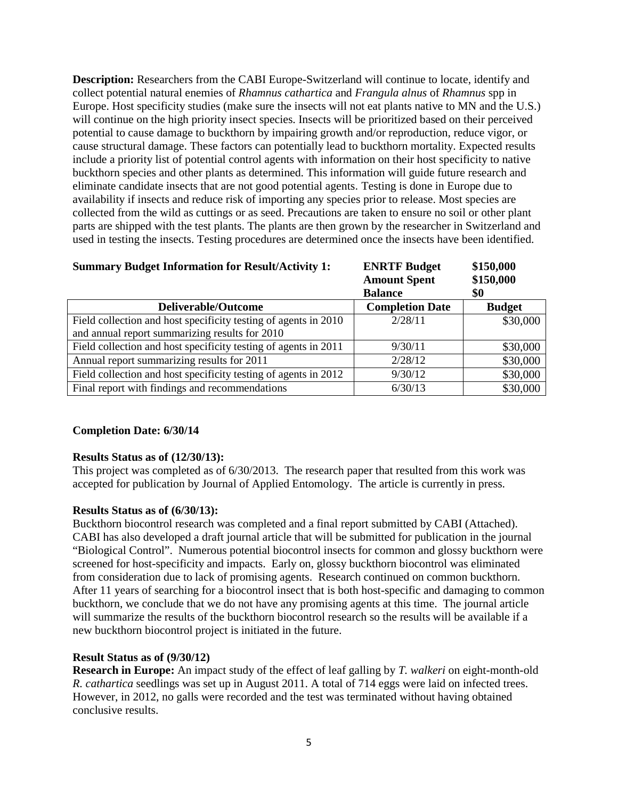**Description:** Researchers from the CABI Europe-Switzerland will continue to locate, identify and collect potential natural enemies of *Rhamnus cathartica* and *Frangula alnus* of *Rhamnus* spp in Europe. Host specificity studies (make sure the insects will not eat plants native to MN and the U.S.) will continue on the high priority insect species. Insects will be prioritized based on their perceived potential to cause damage to buckthorn by impairing growth and/or reproduction, reduce vigor, or cause structural damage. These factors can potentially lead to buckthorn mortality. Expected results include a priority list of potential control agents with information on their host specificity to native buckthorn species and other plants as determined. This information will guide future research and eliminate candidate insects that are not good potential agents. Testing is done in Europe due to availability if insects and reduce risk of importing any species prior to release. Most species are collected from the wild as cuttings or as seed. Precautions are taken to ensure no soil or other plant parts are shipped with the test plants. The plants are then grown by the researcher in Switzerland and used in testing the insects. Testing procedures are determined once the insects have been identified.

| <b>Summary Budget Information for Result/Activity 1:</b>        | <b>ENRTF Budget</b><br><b>Amount Spent</b> | \$150,000<br>\$150,000 |  |
|-----------------------------------------------------------------|--------------------------------------------|------------------------|--|
|                                                                 | <b>Balance</b>                             | \$0                    |  |
| <b>Deliverable/Outcome</b>                                      | <b>Completion Date</b>                     | <b>Budget</b>          |  |
| Field collection and host specificity testing of agents in 2010 | 2/28/11                                    | \$30,000               |  |
| and annual report summarizing results for 2010                  |                                            |                        |  |
| Field collection and host specificity testing of agents in 2011 | 9/30/11                                    | \$30,000               |  |
| Annual report summarizing results for 2011                      | 2/28/12                                    | \$30,000               |  |
| Field collection and host specificity testing of agents in 2012 | 9/30/12                                    | \$30,000               |  |
| Final report with findings and recommendations                  | 6/30/13                                    | \$30,000               |  |

### **Completion Date: 6/30/14**

#### **Results Status as of (12/30/13):**

This project was completed as of 6/30/2013. The research paper that resulted from this work was accepted for publication by Journal of Applied Entomology. The article is currently in press.

#### **Results Status as of (6/30/13):**

Buckthorn biocontrol research was completed and a final report submitted by CABI (Attached). CABI has also developed a draft journal article that will be submitted for publication in the journal "Biological Control". Numerous potential biocontrol insects for common and glossy buckthorn were screened for host-specificity and impacts. Early on, glossy buckthorn biocontrol was eliminated from consideration due to lack of promising agents. Research continued on common buckthorn. After 11 years of searching for a biocontrol insect that is both host-specific and damaging to common buckthorn, we conclude that we do not have any promising agents at this time. The journal article will summarize the results of the buckthorn biocontrol research so the results will be available if a new buckthorn biocontrol project is initiated in the future.

## **Result Status as of (9/30/12)**

**Research in Europe:** An impact study of the effect of leaf galling by *T. walkeri* on eight-month-old *R. cathartica* seedlings was set up in August 2011. A total of 714 eggs were laid on infected trees. However, in 2012, no galls were recorded and the test was terminated without having obtained conclusive results.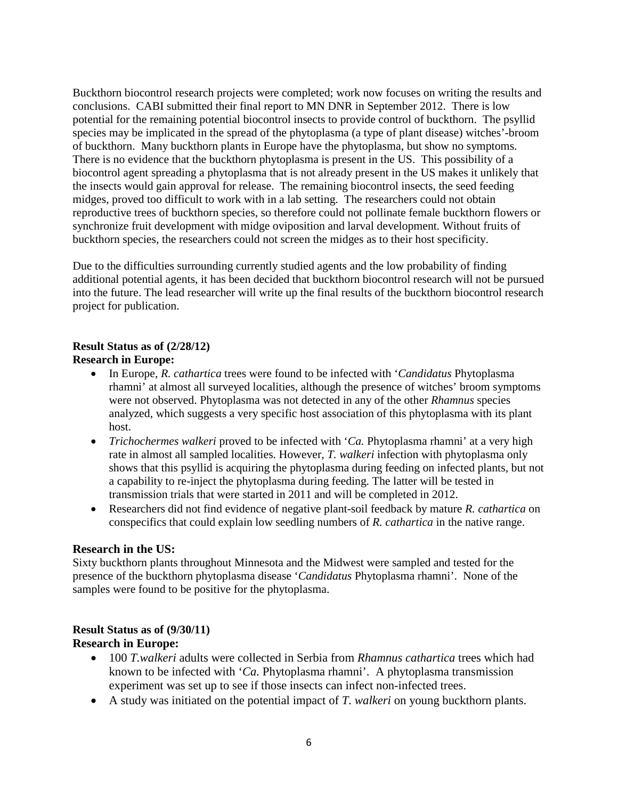Buckthorn biocontrol research projects were completed; work now focuses on writing the results and conclusions. CABI submitted their final report to MN DNR in September 2012. There is low potential for the remaining potential biocontrol insects to provide control of buckthorn. The psyllid species may be implicated in the spread of the phytoplasma (a type of plant disease) witches'-broom of buckthorn. Many buckthorn plants in Europe have the phytoplasma, but show no symptoms. There is no evidence that the buckthorn phytoplasma is present in the US. This possibility of a biocontrol agent spreading a phytoplasma that is not already present in the US makes it unlikely that the insects would gain approval for release. The remaining biocontrol insects, the seed feeding midges, proved too difficult to work with in a lab setting. The researchers could not obtain reproductive trees of buckthorn species, so therefore could not pollinate female buckthorn flowers or synchronize fruit development with midge oviposition and larval development. Without fruits of buckthorn species, the researchers could not screen the midges as to their host specificity.

Due to the difficulties surrounding currently studied agents and the low probability of finding additional potential agents, it has been decided that buckthorn biocontrol research will not be pursued into the future. The lead researcher will write up the final results of the buckthorn biocontrol research project for publication.

# **Result Status as of (2/28/12)**

## **Research in Europe:**

- In Europe, *R. cathartica* trees were found to be infected with '*Candidatus* Phytoplasma rhamni' at almost all surveyed localities, although the presence of witches' broom symptoms were not observed. Phytoplasma was not detected in any of the other *Rhamnus* species analyzed, which suggests a very specific host association of this phytoplasma with its plant host.
- *Trichochermes walkeri* proved to be infected with '*Ca.* Phytoplasma rhamni' at a very high rate in almost all sampled localities. However, *T. walkeri* infection with phytoplasma only shows that this psyllid is acquiring the phytoplasma during feeding on infected plants, but not a capability to re-inject the phytoplasma during feeding. The latter will be tested in transmission trials that were started in 2011 and will be completed in 2012.
- Researchers did not find evidence of negative plant-soil feedback by mature *R. cathartica* on conspecifics that could explain low seedling numbers of *R. cathartica* in the native range.

# **Research in the US:**

Sixty buckthorn plants throughout Minnesota and the Midwest were sampled and tested for the presence of the buckthorn phytoplasma disease '*Candidatus* Phytoplasma rhamni'. None of the samples were found to be positive for the phytoplasma.

### **Result Status as of (9/30/11) Research in Europe:**

- 100 *T.walkeri* adults were collected in Serbia from *Rhamnus cathartica* trees which had known to be infected with '*Ca.* Phytoplasma rhamni'. A phytoplasma transmission experiment was set up to see if those insects can infect non-infected trees.
- A study was initiated on the potential impact of *T. walkeri* on young buckthorn plants.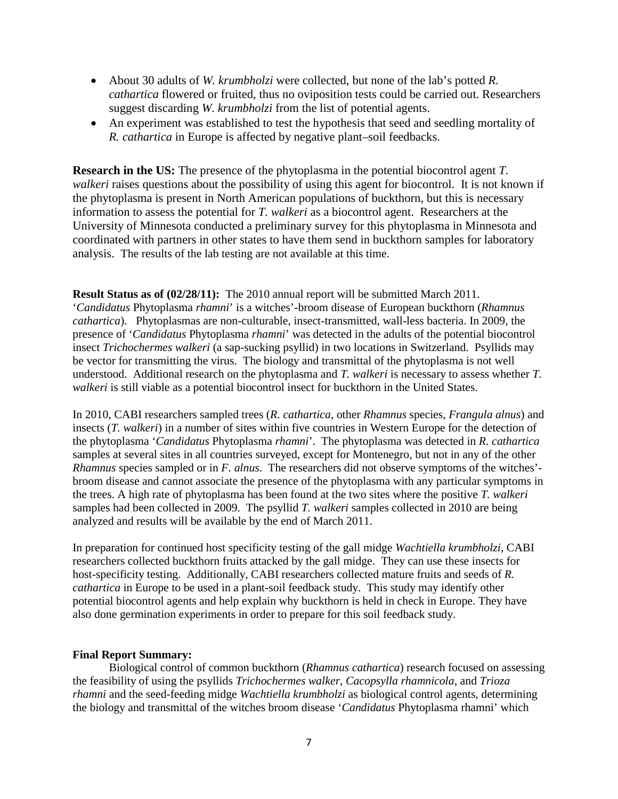- About 30 adults of *W. krumbholzi* were collected, but none of the lab's potted *R. cathartica* flowered or fruited, thus no oviposition tests could be carried out. Researchers suggest discarding *W. krumbholzi* from the list of potential agents.
- An experiment was established to test the hypothesis that seed and seedling mortality of *R. cathartica* in Europe is affected by negative plant–soil feedbacks.

**Research in the US:** The presence of the phytoplasma in the potential biocontrol agent *T. walkeri* raises questions about the possibility of using this agent for biocontrol. It is not known if the phytoplasma is present in North American populations of buckthorn, but this is necessary information to assess the potential for *T. walkeri* as a biocontrol agent. Researchers at the University of Minnesota conducted a preliminary survey for this phytoplasma in Minnesota and coordinated with partners in other states to have them send in buckthorn samples for laboratory analysis. The results of the lab testing are not available at this time.

**Result Status as of (02/28/11):** The 2010 annual report will be submitted March 2011. '*Candidatus* Phytoplasma *rhamni*' is a witches'-broom disease of European buckthorn (*Rhamnus cathartica*). Phytoplasmas are non-culturable, insect-transmitted, wall-less bacteria. In 2009, the presence of '*Candidatus* Phytoplasma *rhamni*' was detected in the adults of the potential biocontrol insect *Trichochermes walkeri* (a sap-sucking psyllid) in two locations in Switzerland. Psyllids may be vector for transmitting the virus. The biology and transmittal of the phytoplasma is not well understood. Additional research on the phytoplasma and *T. walkeri* is necessary to assess whether *T. walkeri* is still viable as a potential biocontrol insect for buckthorn in the United States.

In 2010, CABI researchers sampled trees (*R. cathartica*, other *Rhamnus* species, *Frangula alnus*) and insects (*T. walkeri*) in a number of sites within five countries in Western Europe for the detection of the phytoplasma '*Candidatus* Phytoplasma *rhamni*'. The phytoplasma was detected in *R. cathartica* samples at several sites in all countries surveyed, except for Montenegro, but not in any of the other *Rhamnus* species sampled or in *F. alnus*. The researchers did not observe symptoms of the witches' broom disease and cannot associate the presence of the phytoplasma with any particular symptoms in the trees. A high rate of phytoplasma has been found at the two sites where the positive *T. walkeri* samples had been collected in 2009. The psyllid *T. walkeri* samples collected in 2010 are being analyzed and results will be available by the end of March 2011.

In preparation for continued host specificity testing of the gall midge *Wachtiella krumbholzi*, CABI researchers collected buckthorn fruits attacked by the gall midge. They can use these insects for host-specificity testing. Additionally, CABI researchers collected mature fruits and seeds of *R. cathartica* in Europe to be used in a plant-soil feedback study. This study may identify other potential biocontrol agents and help explain why buckthorn is held in check in Europe. They have also done germination experiments in order to prepare for this soil feedback study.

#### **Final Report Summary:**

Biological control of common buckthorn (*Rhamnus cathartica*) research focused on assessing the feasibility of using the psyllids *Trichochermes walker*, *Cacopsylla rhamnicola*, and *Trioza rhamni* and the seed-feeding midge *Wachtiella krumbholzi* as biological control agents, determining the biology and transmittal of the witches broom disease '*Candidatus* Phytoplasma rhamni' which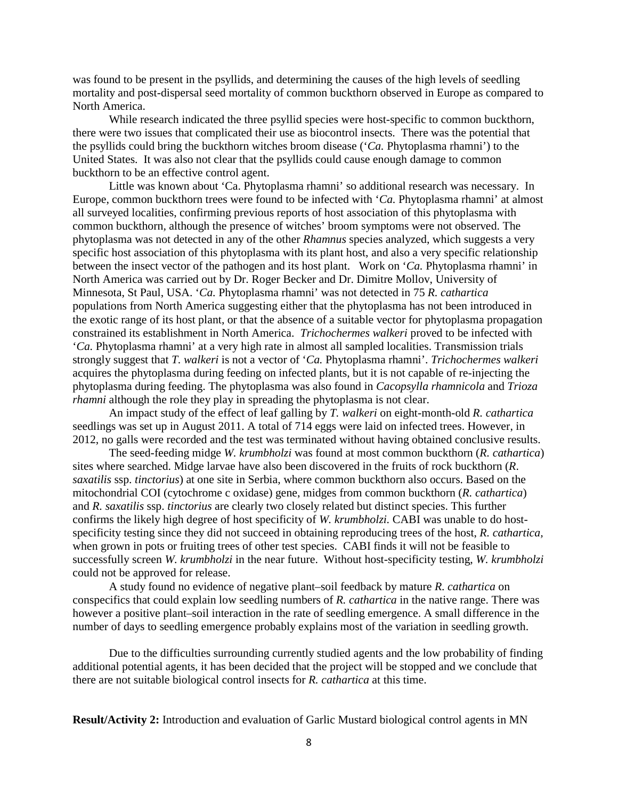was found to be present in the psyllids, and determining the causes of the high levels of seedling mortality and post-dispersal seed mortality of common buckthorn observed in Europe as compared to North America.

While research indicated the three psyllid species were host-specific to common buckthorn, there were two issues that complicated their use as biocontrol insects. There was the potential that the psyllids could bring the buckthorn witches broom disease ('*Ca.* Phytoplasma rhamni') to the United States. It was also not clear that the psyllids could cause enough damage to common buckthorn to be an effective control agent.

Little was known about 'Ca. Phytoplasma rhamni' so additional research was necessary. In Europe, common buckthorn trees were found to be infected with '*Ca.* Phytoplasma rhamni' at almost all surveyed localities, confirming previous reports of host association of this phytoplasma with common buckthorn*,* although the presence of witches' broom symptoms were not observed. The phytoplasma was not detected in any of the other *Rhamnus* species analyzed, which suggests a very specific host association of this phytoplasma with its plant host, and also a very specific relationship between the insect vector of the pathogen and its host plant. Work on '*Ca.* Phytoplasma rhamni' in North America was carried out by Dr. Roger Becker and Dr. Dimitre Mollov, University of Minnesota, St Paul, USA. '*Ca.* Phytoplasma rhamni' was not detected in 75 *R. cathartica*  populations from North America suggesting either that the phytoplasma has not been introduced in the exotic range of its host plant, or that the absence of a suitable vector for phytoplasma propagation constrained its establishment in North America. *Trichochermes walkeri* proved to be infected with '*Ca.* Phytoplasma rhamni' at a very high rate in almost all sampled localities. Transmission trials strongly suggest that *T. walkeri* is not a vector of '*Ca.* Phytoplasma rhamni'. *Trichochermes walkeri*  acquires the phytoplasma during feeding on infected plants, but it is not capable of re-injecting the phytoplasma during feeding. The phytoplasma was also found in *Cacopsylla rhamnicola* and *Trioza rhamni* although the role they play in spreading the phytoplasma is not clear.

An impact study of the effect of leaf galling by *T. walkeri* on eight-month-old *R. cathartica*  seedlings was set up in August 2011. A total of 714 eggs were laid on infected trees. However, in 2012, no galls were recorded and the test was terminated without having obtained conclusive results.

The seed-feeding midge *W. krumbholzi* was found at most common buckthorn (*R. cathartica*) sites where searched. Midge larvae have also been discovered in the fruits of rock buckthorn (*R*. *saxatilis* ssp. *tinctorius*) at one site in Serbia, where common buckthorn also occurs. Based on the mitochondrial COI (cytochrome c oxidase) gene, midges from common buckthorn (*R. cathartica*) and *R. saxatilis* ssp. *tinctorius* are clearly two closely related but distinct species. This further confirms the likely high degree of host specificity of *W. krumbholzi.* CABI was unable to do hostspecificity testing since they did not succeed in obtaining reproducing trees of the host, *R. cathartica,*  when grown in pots or fruiting trees of other test species. CABI finds it will not be feasible to successfully screen *W. krumbholzi* in the near future. Without host-specificity testing, *W. krumbholzi* could not be approved for release.

A study found no evidence of negative plant–soil feedback by mature *R. cathartica* on conspecifics that could explain low seedling numbers of *R. cathartica* in the native range. There was however a positive plant–soil interaction in the rate of seedling emergence. A small difference in the number of days to seedling emergence probably explains most of the variation in seedling growth.

Due to the difficulties surrounding currently studied agents and the low probability of finding additional potential agents, it has been decided that the project will be stopped and we conclude that there are not suitable biological control insects for *R. cathartica* at this time.

**Result/Activity 2:** Introduction and evaluation of Garlic Mustard biological control agents in MN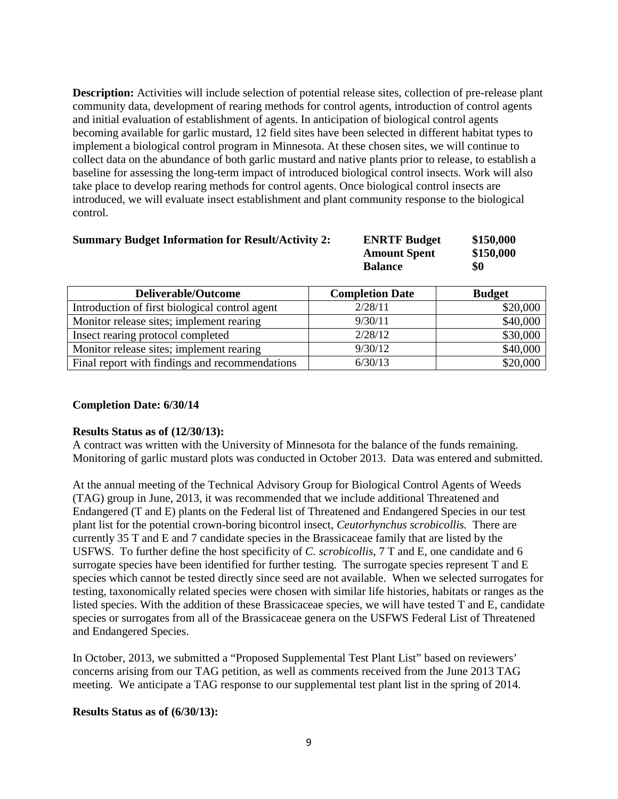**Description:** Activities will include selection of potential release sites, collection of pre-release plant community data, development of rearing methods for control agents, introduction of control agents and initial evaluation of establishment of agents. In anticipation of biological control agents becoming available for garlic mustard, 12 field sites have been selected in different habitat types to implement a biological control program in Minnesota. At these chosen sites, we will continue to collect data on the abundance of both garlic mustard and native plants prior to release, to establish a baseline for assessing the long-term impact of introduced biological control insects. Work will also take place to develop rearing methods for control agents. Once biological control insects are introduced, we will evaluate insect establishment and plant community response to the biological control.

| <b>Summary Budget Information for Result/Activity 2:</b> | <b>ENRTF Budget</b> | \$150,000 |
|----------------------------------------------------------|---------------------|-----------|
|                                                          | <b>Amount Spent</b> | \$150,000 |
|                                                          | <b>Balance</b>      | \$0       |

| <b>Deliverable/Outcome</b>                     | <b>Completion Date</b> | <b>Budget</b> |
|------------------------------------------------|------------------------|---------------|
| Introduction of first biological control agent | 2/28/11                | \$20,000      |
| Monitor release sites; implement rearing       | 9/30/11                | \$40,000      |
| Insect rearing protocol completed              | 2/28/12                | \$30,000      |
| Monitor release sites; implement rearing       | 9/30/12                | \$40,000      |
| Final report with findings and recommendations | 6/30/13                | \$20,000      |

### **Completion Date: 6/30/14**

### **Results Status as of (12/30/13):**

A contract was written with the University of Minnesota for the balance of the funds remaining. Monitoring of garlic mustard plots was conducted in October 2013. Data was entered and submitted.

At the annual meeting of the Technical Advisory Group for Biological Control Agents of Weeds (TAG) group in June, 2013, it was recommended that we include additional Threatened and Endangered (T and E) plants on the Federal list of Threatened and Endangered Species in our test plant list for the potential crown-boring bicontrol insect, *Ceutorhynchus scrobicollis.* There are currently 35 T and E and 7 candidate species in the Brassicaceae family that are listed by the USFWS. To further define the host specificity of *C. scrobicollis*, 7 T and E, one candidate and 6 surrogate species have been identified for further testing. The surrogate species represent T and E species which cannot be tested directly since seed are not available. When we selected surrogates for testing, taxonomically related species were chosen with similar life histories, habitats or ranges as the listed species. With the addition of these Brassicaceae species, we will have tested T and E, candidate species or surrogates from all of the Brassicaceae genera on the USFWS Federal List of Threatened and Endangered Species.

In October, 2013, we submitted a "Proposed Supplemental Test Plant List" based on reviewers' concerns arising from our TAG petition, as well as comments received from the June 2013 TAG meeting. We anticipate a TAG response to our supplemental test plant list in the spring of 2014.

### **Results Status as of (6/30/13):**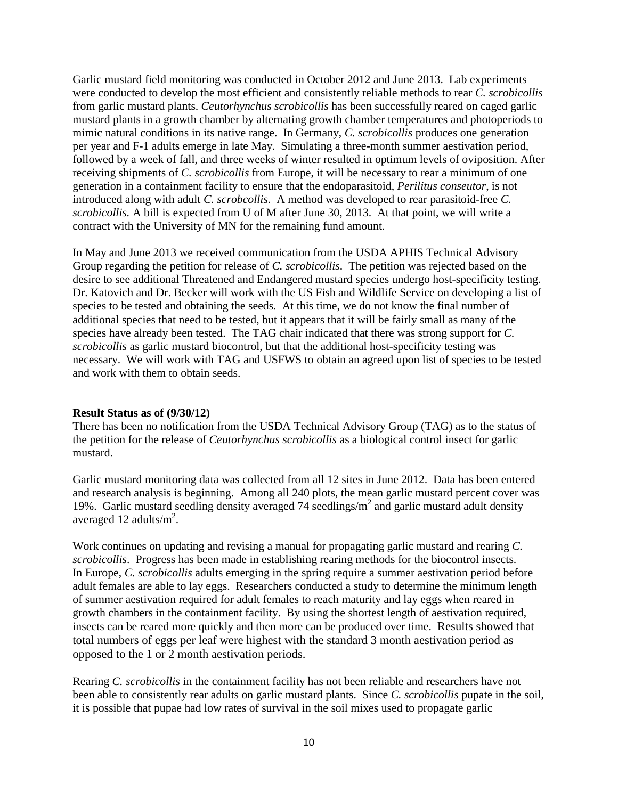Garlic mustard field monitoring was conducted in October 2012 and June 2013. Lab experiments were conducted to develop the most efficient and consistently reliable methods to rear *C. scrobicollis* from garlic mustard plants. *Ceutorhynchus scrobicollis* has been successfully reared on caged garlic mustard plants in a growth chamber by alternating growth chamber temperatures and photoperiods to mimic natural conditions in its native range. In Germany, *C. scrobicollis* produces one generation per year and F-1 adults emerge in late May. Simulating a three-month summer aestivation period, followed by a week of fall, and three weeks of winter resulted in optimum levels of oviposition. After receiving shipments of *C. scrobicollis* from Europe, it will be necessary to rear a minimum of one generation in a containment facility to ensure that the endoparasitoid, *Perilitus conseutor*, is not introduced along with adult *C. scrobcollis*. A method was developed to rear parasitoid-free *C. scrobicollis.* A bill is expected from U of M after June 30, 2013. At that point, we will write a contract with the University of MN for the remaining fund amount.

In May and June 2013 we received communication from the USDA APHIS Technical Advisory Group regarding the petition for release of *C. scrobicollis*. The petition was rejected based on the desire to see additional Threatened and Endangered mustard species undergo host-specificity testing. Dr. Katovich and Dr. Becker will work with the US Fish and Wildlife Service on developing a list of species to be tested and obtaining the seeds. At this time, we do not know the final number of additional species that need to be tested, but it appears that it will be fairly small as many of the species have already been tested. The TAG chair indicated that there was strong support for *C. scrobicollis* as garlic mustard biocontrol, but that the additional host-specificity testing was necessary. We will work with TAG and USFWS to obtain an agreed upon list of species to be tested and work with them to obtain seeds.

### **Result Status as of (9/30/12)**

There has been no notification from the USDA Technical Advisory Group (TAG) as to the status of the petition for the release of *Ceutorhynchus scrobicollis* as a biological control insect for garlic mustard.

Garlic mustard monitoring data was collected from all 12 sites in June 2012. Data has been entered and research analysis is beginning. Among all 240 plots, the mean garlic mustard percent cover was 19%. Garlic mustard seedling density averaged 74 seedlings/ $m^2$  and garlic mustard adult density averaged 12 adults/ $m^2$ .

Work continues on updating and revising a manual for propagating garlic mustard and rearing *C. scrobicollis*. Progress has been made in establishing rearing methods for the biocontrol insects. In Europe, *C. scrobicollis* adults emerging in the spring require a summer aestivation period before adult females are able to lay eggs. Researchers conducted a study to determine the minimum length of summer aestivation required for adult females to reach maturity and lay eggs when reared in growth chambers in the containment facility. By using the shortest length of aestivation required, insects can be reared more quickly and then more can be produced over time. Results showed that total numbers of eggs per leaf were highest with the standard 3 month aestivation period as opposed to the 1 or 2 month aestivation periods.

Rearing *C. scrobicollis* in the containment facility has not been reliable and researchers have not been able to consistently rear adults on garlic mustard plants. Since *C. scrobicollis* pupate in the soil, it is possible that pupae had low rates of survival in the soil mixes used to propagate garlic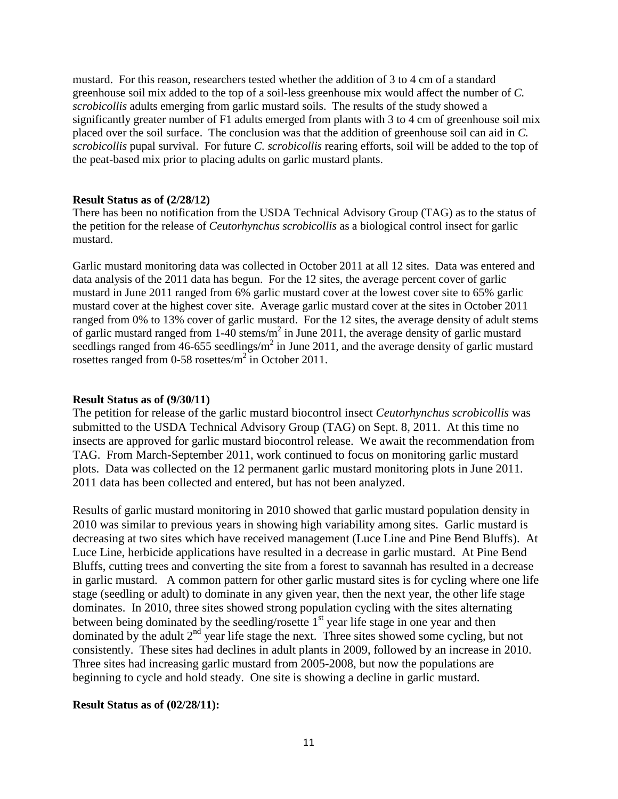mustard. For this reason, researchers tested whether the addition of 3 to 4 cm of a standard greenhouse soil mix added to the top of a soil-less greenhouse mix would affect the number of *C. scrobicollis* adults emerging from garlic mustard soils. The results of the study showed a significantly greater number of F1 adults emerged from plants with 3 to 4 cm of greenhouse soil mix placed over the soil surface. The conclusion was that the addition of greenhouse soil can aid in *C. scrobicollis* pupal survival. For future *C. scrobicollis* rearing efforts, soil will be added to the top of the peat-based mix prior to placing adults on garlic mustard plants.

#### **Result Status as of (2/28/12)**

There has been no notification from the USDA Technical Advisory Group (TAG) as to the status of the petition for the release of *Ceutorhynchus scrobicollis* as a biological control insect for garlic mustard.

Garlic mustard monitoring data was collected in October 2011 at all 12 sites. Data was entered and data analysis of the 2011 data has begun. For the 12 sites, the average percent cover of garlic mustard in June 2011 ranged from 6% garlic mustard cover at the lowest cover site to 65% garlic mustard cover at the highest cover site. Average garlic mustard cover at the sites in October 2011 ranged from 0% to 13% cover of garlic mustard. For the 12 sites, the average density of adult stems of garlic mustard ranged from 1-40 stems/ $m<sup>2</sup>$  in June 2011, the average density of garlic mustard seedlings ranged from 46-655 seedlings/ $m^2$  in June 2011, and the average density of garlic mustard rosettes ranged from 0-58 rosettes/ $m^2$  in October 2011.

#### **Result Status as of (9/30/11)**

The petition for release of the garlic mustard biocontrol insect *Ceutorhynchus scrobicollis* was submitted to the USDA Technical Advisory Group (TAG) on Sept. 8, 2011. At this time no insects are approved for garlic mustard biocontrol release. We await the recommendation from TAG. From March-September 2011, work continued to focus on monitoring garlic mustard plots. Data was collected on the 12 permanent garlic mustard monitoring plots in June 2011. 2011 data has been collected and entered, but has not been analyzed.

Results of garlic mustard monitoring in 2010 showed that garlic mustard population density in 2010 was similar to previous years in showing high variability among sites. Garlic mustard is decreasing at two sites which have received management (Luce Line and Pine Bend Bluffs). At Luce Line, herbicide applications have resulted in a decrease in garlic mustard. At Pine Bend Bluffs, cutting trees and converting the site from a forest to savannah has resulted in a decrease in garlic mustard. A common pattern for other garlic mustard sites is for cycling where one life stage (seedling or adult) to dominate in any given year, then the next year, the other life stage dominates. In 2010, three sites showed strong population cycling with the sites alternating between being dominated by the seedling/rosette  $1<sup>st</sup>$  year life stage in one year and then dominated by the adult  $2<sup>nd</sup>$  year life stage the next. Three sites showed some cycling, but not consistently. These sites had declines in adult plants in 2009, followed by an increase in 2010. Three sites had increasing garlic mustard from 2005-2008, but now the populations are beginning to cycle and hold steady. One site is showing a decline in garlic mustard.

#### **Result Status as of (02/28/11):**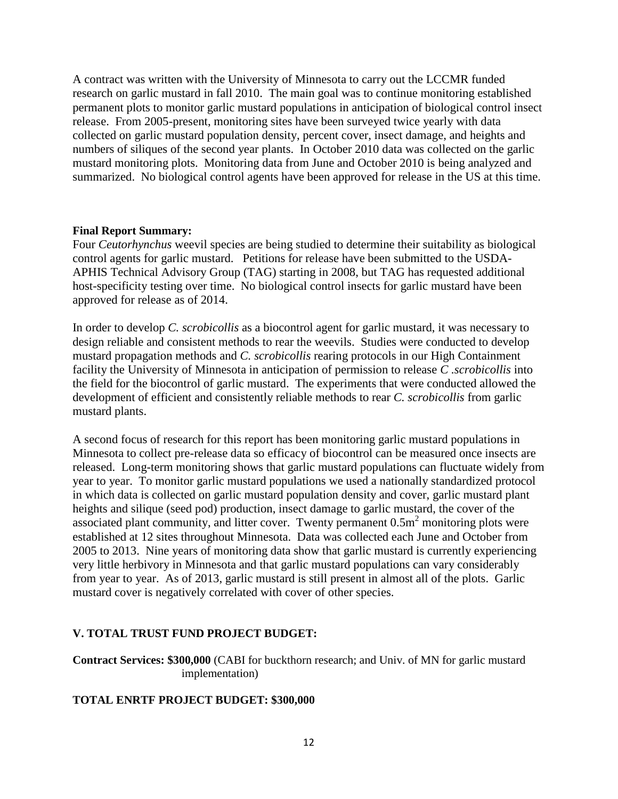A contract was written with the University of Minnesota to carry out the LCCMR funded research on garlic mustard in fall 2010. The main goal was to continue monitoring established permanent plots to monitor garlic mustard populations in anticipation of biological control insect release. From 2005-present, monitoring sites have been surveyed twice yearly with data collected on garlic mustard population density, percent cover, insect damage, and heights and numbers of siliques of the second year plants. In October 2010 data was collected on the garlic mustard monitoring plots. Monitoring data from June and October 2010 is being analyzed and summarized. No biological control agents have been approved for release in the US at this time.

### **Final Report Summary:**

Four *Ceutorhynchus* weevil species are being studied to determine their suitability as biological control agents for garlic mustard. Petitions for release have been submitted to the USDA-APHIS Technical Advisory Group (TAG) starting in 2008, but TAG has requested additional host-specificity testing over time. No biological control insects for garlic mustard have been approved for release as of 2014.

In order to develop *C. scrobicollis* as a biocontrol agent for garlic mustard, it was necessary to design reliable and consistent methods to rear the weevils. Studies were conducted to develop mustard propagation methods and *C. scrobicollis* rearing protocols in our High Containment facility the University of Minnesota in anticipation of permission to release *C .scrobicollis* into the field for the biocontrol of garlic mustard. The experiments that were conducted allowed the development of efficient and consistently reliable methods to rear *C. scrobicollis* from garlic mustard plants.

A second focus of research for this report has been monitoring garlic mustard populations in Minnesota to collect pre-release data so efficacy of biocontrol can be measured once insects are released. Long-term monitoring shows that garlic mustard populations can fluctuate widely from year to year. To monitor garlic mustard populations we used a nationally standardized protocol in which data is collected on garlic mustard population density and cover, garlic mustard plant heights and silique (seed pod) production, insect damage to garlic mustard, the cover of the associated plant community, and litter cover. Twenty permanent  $0.5m<sup>2</sup>$  monitoring plots were established at 12 sites throughout Minnesota. Data was collected each June and October from 2005 to 2013. Nine years of monitoring data show that garlic mustard is currently experiencing very little herbivory in Minnesota and that garlic mustard populations can vary considerably from year to year. As of 2013, garlic mustard is still present in almost all of the plots. Garlic mustard cover is negatively correlated with cover of other species.

# **V. TOTAL TRUST FUND PROJECT BUDGET:**

**Contract Services: \$300,000** (CABI for buckthorn research; and Univ. of MN for garlic mustard implementation)

# **TOTAL ENRTF PROJECT BUDGET: \$300,000**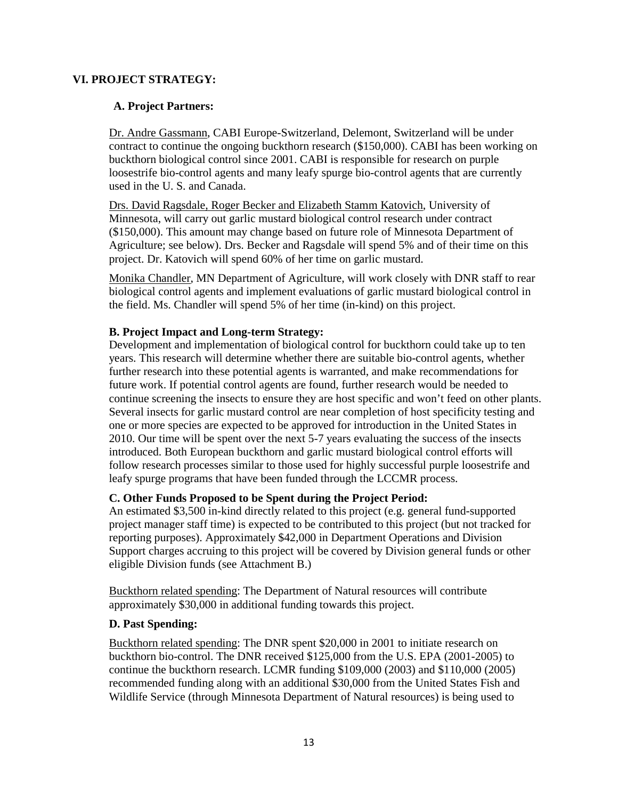## **VI. PROJECT STRATEGY:**

## **A. Project Partners:**

Dr. Andre Gassmann, CABI Europe-Switzerland, Delemont, Switzerland will be under contract to continue the ongoing buckthorn research (\$150,000). CABI has been working on buckthorn biological control since 2001. CABI is responsible for research on purple loosestrife bio-control agents and many leafy spurge bio-control agents that are currently used in the U. S. and Canada.

Drs. David Ragsdale, Roger Becker and Elizabeth Stamm Katovich, University of Minnesota, will carry out garlic mustard biological control research under contract (\$150,000). This amount may change based on future role of Minnesota Department of Agriculture; see below). Drs. Becker and Ragsdale will spend 5% and of their time on this project. Dr. Katovich will spend 60% of her time on garlic mustard.

Monika Chandler, MN Department of Agriculture, will work closely with DNR staff to rear biological control agents and implement evaluations of garlic mustard biological control in the field. Ms. Chandler will spend 5% of her time (in-kind) on this project.

### **B. Project Impact and Long-term Strategy:**

Development and implementation of biological control for buckthorn could take up to ten years. This research will determine whether there are suitable bio-control agents, whether further research into these potential agents is warranted, and make recommendations for future work. If potential control agents are found, further research would be needed to continue screening the insects to ensure they are host specific and won't feed on other plants. Several insects for garlic mustard control are near completion of host specificity testing and one or more species are expected to be approved for introduction in the United States in 2010. Our time will be spent over the next 5-7 years evaluating the success of the insects introduced. Both European buckthorn and garlic mustard biological control efforts will follow research processes similar to those used for highly successful purple loosestrife and leafy spurge programs that have been funded through the LCCMR process.

### **C. Other Funds Proposed to be Spent during the Project Period:**

An estimated \$3,500 in-kind directly related to this project (e.g. general fund-supported project manager staff time) is expected to be contributed to this project (but not tracked for reporting purposes). Approximately \$42,000 in Department Operations and Division Support charges accruing to this project will be covered by Division general funds or other eligible Division funds (see Attachment B.)

Buckthorn related spending: The Department of Natural resources will contribute approximately \$30,000 in additional funding towards this project.

### **D. Past Spending:**

Buckthorn related spending: The DNR spent \$20,000 in 2001 to initiate research on buckthorn bio-control. The DNR received \$125,000 from the U.S. EPA (2001-2005) to continue the buckthorn research. LCMR funding \$109,000 (2003) and \$110,000 (2005) recommended funding along with an additional \$30,000 from the United States Fish and Wildlife Service (through Minnesota Department of Natural resources) is being used to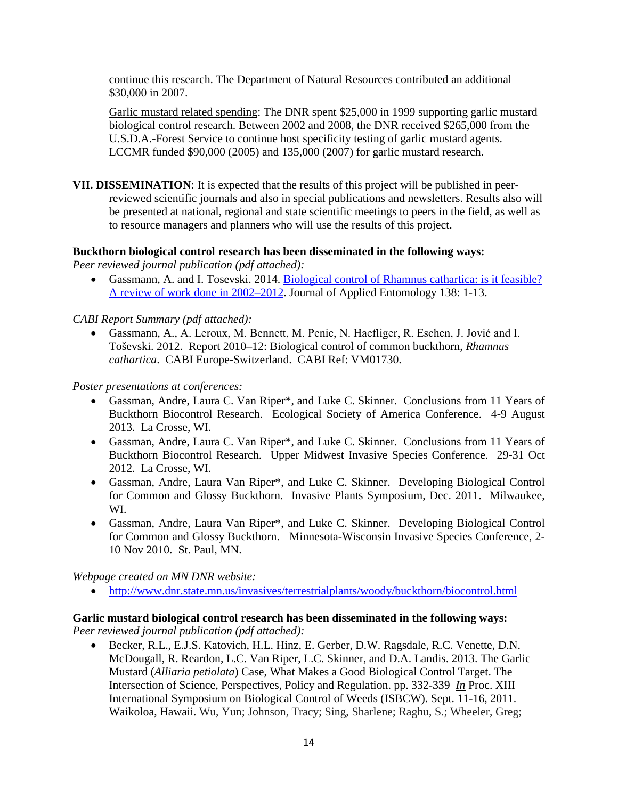continue this research. The Department of Natural Resources contributed an additional \$30,000 in 2007.

Garlic mustard related spending: The DNR spent \$25,000 in 1999 supporting garlic mustard biological control research. Between 2002 and 2008, the DNR received \$265,000 from the U.S.D.A.-Forest Service to continue host specificity testing of garlic mustard agents. LCCMR funded \$90,000 (2005) and 135,000 (2007) for garlic mustard research.

**VII. DISSEMINATION**: It is expected that the results of this project will be published in peerreviewed scientific journals and also in special publications and newsletters. Results also will be presented at national, regional and state scientific meetings to peers in the field, as well as to resource managers and planners who will use the results of this project.

# **Buckthorn biological control research has been disseminated in the following ways:**

*Peer reviewed journal publication (pdf attached):*

• Gassmann, A. and I. Tosevski. 2014. [Biological control of Rhamnus cathartica: is it feasible?](http://onlinelibrary.wiley.com/doi/10.1111/jen.12104/abstract)  [A review of work done in 2002–2012.](http://onlinelibrary.wiley.com/doi/10.1111/jen.12104/abstract) Journal of Applied Entomology 138: 1-13.

# *CABI Report Summary (pdf attached):*

• Gassmann, A., A. Leroux, M. Bennett, M. Penic, N. Haefliger, R. Eschen, J. Jović and I. Toševski. 2012. Report 2010–12: Biological control of common buckthorn, *Rhamnus cathartica*. CABI Europe-Switzerland. CABI Ref: VM01730.

*Poster presentations at conferences:*

- Gassman, Andre, Laura C. Van Riper\*, and Luke C. Skinner. Conclusions from 11 Years of Buckthorn Biocontrol Research. Ecological Society of America Conference. 4-9 August 2013. La Crosse, WI.
- Gassman, Andre, Laura C. Van Riper\*, and Luke C. Skinner. Conclusions from 11 Years of Buckthorn Biocontrol Research. Upper Midwest Invasive Species Conference. 29-31 Oct 2012. La Crosse, WI.
- Gassman, Andre, Laura Van Riper\*, and Luke C. Skinner. Developing Biological Control for Common and Glossy Buckthorn. Invasive Plants Symposium, Dec. 2011. Milwaukee, WI.
- Gassman, Andre, Laura Van Riper\*, and Luke C. Skinner. Developing Biological Control for Common and Glossy Buckthorn. Minnesota-Wisconsin Invasive Species Conference, 2- 10 Nov 2010. St. Paul, MN.

*Webpage created on MN DNR website:*

• <http://www.dnr.state.mn.us/invasives/terrestrialplants/woody/buckthorn/biocontrol.html>

### **Garlic mustard biological control research has been disseminated in the following ways:** *Peer reviewed journal publication (pdf attached):*

• Becker, R.L., E.J.S. Katovich, H.L. Hinz, E. Gerber, D.W. Ragsdale, R.C. Venette, D.N. McDougall, R. Reardon, L.C. Van Riper, L.C. Skinner, and D.A. Landis. 2013. The Garlic Mustard (*Alliaria petiolata*) Case, What Makes a Good Biological Control Target. The Intersection of Science, Perspectives, Policy and Regulation. pp. 332-339 *In* Proc. XIII International Symposium on Biological Control of Weeds (ISBCW). Sept. 11-16, 2011. Waikoloa, Hawaii. Wu, Yun; Johnson, Tracy; Sing, Sharlene; Raghu, S.; Wheeler, Greg;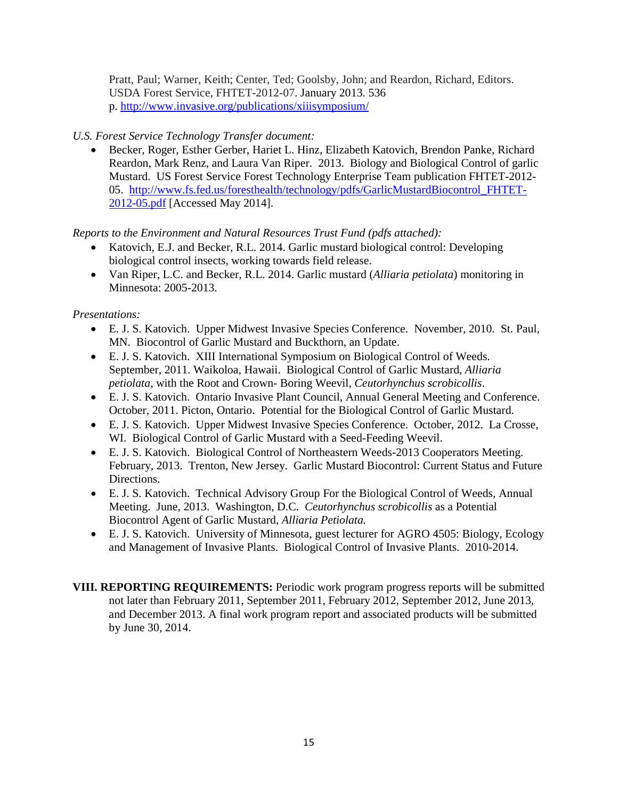Pratt, Paul; Warner, Keith; Center, Ted; Goolsby, John; and Reardon, Richard, Editors. USDA Forest Service, FHTET-2012-07. January 2013. 536 p. <http://www.invasive.org/publications/xiiisymposium/>

# *U.S. Forest Service Technology Transfer document:*

• Becker, Roger, Esther Gerber, Hariet L. Hinz, Elizabeth Katovich, Brendon Panke, Richard Reardon, Mark Renz, and Laura Van Riper. 2013. Biology and Biological Control of garlic Mustard. US Forest Service Forest Technology Enterprise Team publication FHTET-2012- 05. [http://www.fs.fed.us/foresthealth/technology/pdfs/GarlicMustardBiocontrol\\_FHTET-](http://www.fs.fed.us/foresthealth/technology/pdfs/GarlicMustardBiocontrol_FHTET-2012-05.pdf)[2012-05.pdf](http://www.fs.fed.us/foresthealth/technology/pdfs/GarlicMustardBiocontrol_FHTET-2012-05.pdf) [Accessed May 2014].

# *Reports to the Environment and Natural Resources Trust Fund (pdfs attached):*

- Katovich, E.J. and Becker, R.L. 2014. Garlic mustard biological control: Developing biological control insects, working towards field release.
- Van Riper, L.C. and Becker, R.L. 2014. Garlic mustard (*Alliaria petiolata*) monitoring in Minnesota: 2005-2013.

# *Presentations:*

- E. J. S. Katovich. Upper Midwest Invasive Species Conference. November, 2010. St. Paul, MN. Biocontrol of Garlic Mustard and Buckthorn, an Update.
- E. J. S. Katovich. XIII International Symposium on Biological Control of Weeds. September, 2011. Waikoloa, Hawaii. Biological Control of Garlic Mustard, *Alliaria petiolata*, with the Root and Crown- Boring Weevil, *Ceutorhynchus scrobicollis*.
- E. J. S. Katovich. Ontario Invasive Plant Council, Annual General Meeting and Conference. October, 2011. Picton, Ontario. Potential for the Biological Control of Garlic Mustard.
- E. J. S. Katovich. Upper Midwest Invasive Species Conference. October, 2012. La Crosse, WI. Biological Control of Garlic Mustard with a Seed-Feeding Weevil.
- E. J. S. Katovich. Biological Control of Northeastern Weeds-2013 Cooperators Meeting. February, 2013. Trenton, New Jersey. Garlic Mustard Biocontrol: Current Status and Future Directions.
- E. J. S. Katovich. Technical Advisory Group For the Biological Control of Weeds, Annual Meeting. June, 2013. Washington, D.C. *Ceutorhynchus scrobicollis* as a Potential Biocontrol Agent of Garlic Mustard, *Alliaria Petiolata.*
- E. J. S. Katovich. University of Minnesota, guest lecturer for AGRO 4505: Biology, Ecology and Management of Invasive Plants. Biological Control of Invasive Plants. 2010-2014.
- **VIII. REPORTING REQUIREMENTS:** Periodic work program progress reports will be submitted not later than February 2011, September 2011, February 2012, September 2012, June 2013, and December 2013. A final work program report and associated products will be submitted by June 30, 2014.